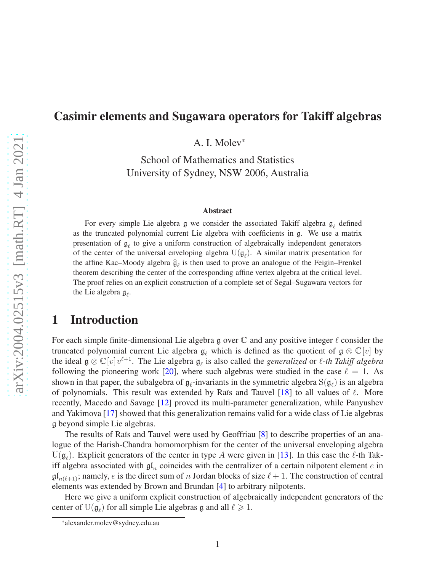### Casimir elements and Sugawara operators for Takiff algebras

A. I. Molev\*

School of Mathematics and Statistics University of Sydney, NSW 2006, Australia

#### Abstract

For every simple Lie algebra g we consider the associated Takiff algebra g*<sup>ℓ</sup>* defined as the truncated polynomial current Lie algebra with coefficients in g. We use a matrix presentation of g*<sup>ℓ</sup>* to give a uniform construction of algebraically independent generators of the center of the universal enveloping algebra  $U(\mathfrak{g}_{\ell})$ . A similar matrix presentation for the affine Kac–Moody algebra  $\hat{\mathfrak{g}}_\ell$  is then used to prove an analogue of the Feigin–Frenkel theorem describing the center of the corresponding affine vertex algebra at the critical level. The proof relies on an explicit construction of a complete set of Segal–Sugawara vectors for the Lie algebra g*<sup>ℓ</sup>* .

# 1 Introduction

For each simple finite-dimensional Lie algebra g over C and any positive integer *ℓ* consider the truncated polynomial current Lie algebra g*<sup>ℓ</sup>* which is defined as the quotient of g ⊗ C[*v*] by the ideal  $\mathfrak{g} \otimes \mathbb{C}[v]v^{\ell+1}$ . The Lie algebra  $\mathfrak{g}_{\ell}$  is also called the *generalized* or  $\ell$ -*th Takiff algebra* following the pioneering work [\[20\]](#page-15-0), where such algebras were studied in the case  $\ell = 1$ . As shown in that paper, the subalgebra of g*<sup>ℓ</sup>* -invariants in the symmetric algebra S(g*<sup>ℓ</sup>* ) is an algebra of polynomials. This result was extended by Raïs and Tauvel [\[18\]](#page-15-1) to all values of *ℓ*. More recently, Macedo and Savage [\[12\]](#page-14-0) proved its multi-parameter generalization, while Panyushev and Yakimova [\[17\]](#page-15-2) showed that this generalization remains valid for a wide class of Lie algebras g beyond simple Lie algebras.

The results of Raïs and Tauvel were used by Geoffriau [\[8\]](#page-14-1) to describe properties of an analogue of the Harish-Chandra homomorphism for the center of the universal enveloping algebra U(g*<sup>ℓ</sup>* ). Explicit generators of the center in type *A* were given in [\[13\]](#page-14-2). In this case the *ℓ*-th Takiff algebra associated with  $\mathfrak{gl}_n$  coincides with the centralizer of a certain nilpotent element *e* in  $\mathfrak{gl}_{n(\ell+1)}$ ; namely, *e* is the direct sum of *n* Jordan blocks of size  $\ell + 1$ . The construction of central elements was extended by Brown and Brundan [\[4\]](#page-14-3) to arbitrary nilpotents.

Here we give a uniform explicit construction of algebraically independent generators of the center of  $U(\mathfrak{g}_{\ell})$  for all simple Lie algebras  $\mathfrak g$  and all  $\ell \geq 1$ .

<sup>\*</sup>alexander.molev@sydney.edu.au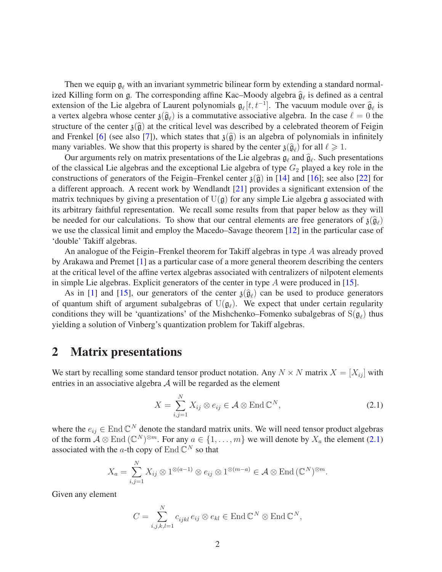Then we equip g*<sup>ℓ</sup>* with an invariant symmetric bilinear form by extending a standard normalized Killing form on  $\mathfrak g$ . The corresponding affine Kac–Moody algebra  $\widehat{\mathfrak g}_{\ell}$  is defined as a central extension of the Lie algebra of Laurent polynomials  $\mathfrak{g}_{\ell}[t, t^{-1}]$ . The vacuum module over  $\hat{\mathfrak{g}}_{\ell}$  is a vertex algebra whose center  $\mathfrak{z}(\hat{\mathfrak{g}}_{\ell})$  is a commutative associative algebra. In the case  $\ell = 0$  the structure of the center  $\mathfrak{z}(\widehat{\mathfrak{g}})$  at the critical level was described by a celebrated theorem of Feigin and Frenkel [\[6\]](#page-14-4) (see also [\[7\]](#page-14-5)), which states that  $\hat{\mathfrak{g}}(\hat{\mathfrak{g}})$  is an algebra of polynomials in infinitely many variables. We show that this property is shared by the center  $\mathfrak{z}(\hat{\mathfrak{g}}_{\ell})$  for all  $\ell \geq 1$ .

Our arguments rely on matrix presentations of the Lie algebras  $\mathfrak{g}_{\ell}$  and  $\hat{\mathfrak{g}}_{\ell}$ . Such presentations of the classical Lie algebras and the exceptional Lie algebra of type *G*<sup>2</sup> played a key role in the constructions of generators of the Feigin–Frenkel center  $\hat{\mathfrak{z}}(\hat{\mathfrak{g}})$  in [\[14\]](#page-15-3) and [\[16\]](#page-15-4); see also [\[22\]](#page-15-5) for a different approach. A recent work by Wendlandt [\[21\]](#page-15-6) provides a significant extension of the matrix techniques by giving a presentation of  $U(\mathfrak{g})$  for any simple Lie algebra g associated with its arbitrary faithful representation. We recall some results from that paper below as they will be needed for our calculations. To show that our central elements are free generators of  $\mathfrak{z}(\hat{\mathfrak{g}}_{\ell})$ we use the classical limit and employ the Macedo–Savage theorem [\[12\]](#page-14-0) in the particular case of 'double' Takiff algebras.

An analogue of the Feigin–Frenkel theorem for Takiff algebras in type *A* was already proved by Arakawa and Premet [\[1\]](#page-14-6) as a particular case of a more general theorem describing the centers at the critical level of the affine vertex algebras associated with centralizers of nilpotent elements in simple Lie algebras. Explicit generators of the center in type *A* were produced in [\[15\]](#page-15-7).

As in [\[1\]](#page-14-6) and [\[15\]](#page-15-7), our generators of the center  $\mathfrak{z}(\hat{\mathfrak{g}}_{\ell})$  can be used to produce generators of quantum shift of argument subalgebras of U(g*<sup>ℓ</sup>* ). We expect that under certain regularity conditions they will be 'quantizations' of the Mishchenko–Fomenko subalgebras of S(g*<sup>ℓ</sup>* ) thus yielding a solution of Vinberg's quantization problem for Takiff algebras.

#### <span id="page-1-1"></span>2 Matrix presentations

We start by recalling some standard tensor product notation. Any  $N \times N$  matrix  $X = [X_{ij}]$  with entries in an associative algebra  $A$  will be regarded as the element

<span id="page-1-0"></span>
$$
X = \sum_{i,j=1}^{N} X_{ij} \otimes e_{ij} \in \mathcal{A} \otimes \text{End} \mathbb{C}^{N},
$$
\n(2.1)

where the  $e_{ij} \in \text{End } \mathbb{C}^N$  denote the standard matrix units. We will need tensor product algebras of the form  $\mathcal{A} \otimes \text{End}(\mathbb{C}^N)^{\otimes m}$ . For any  $a \in \{1, \ldots, m\}$  we will denote by  $X_a$  the element [\(2.1\)](#page-1-0) associated with the *a*-th copy of  $\text{End }\mathbb{C}^N$  so that

$$
X_a = \sum_{i,j=1}^N X_{ij} \otimes 1^{\otimes (a-1)} \otimes e_{ij} \otimes 1^{\otimes (m-a)} \in \mathcal{A} \otimes \text{End}(\mathbb{C}^N)^{\otimes m}.
$$

Given any element

$$
C = \sum_{i,j,k,l=1}^{N} c_{ijkl} e_{ij} \otimes e_{kl} \in \text{End } \mathbb{C}^{N} \otimes \text{End } \mathbb{C}^{N},
$$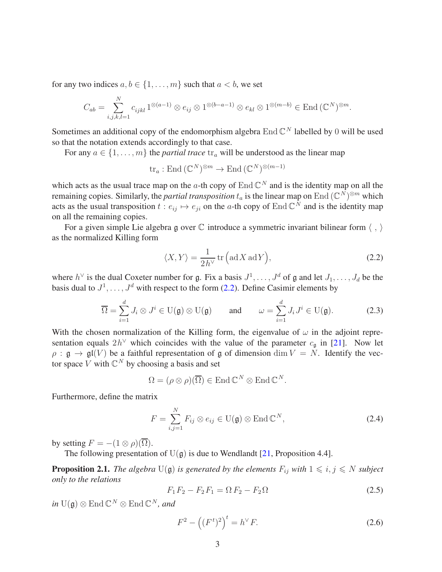for any two indices  $a, b \in \{1, \ldots, m\}$  such that  $a < b$ , we set

$$
C_{ab} = \sum_{i,j,k,l=1}^{N} c_{ijkl} 1^{\otimes (a-1)} \otimes e_{ij} \otimes 1^{\otimes (b-a-1)} \otimes e_{kl} \otimes 1^{\otimes (m-b)} \in \text{End}(\mathbb{C}^N)^{\otimes m}.
$$

Sometimes an additional copy of the endomorphism algebra  $\text{End }\mathbb{C}^N$  labelled by 0 will be used so that the notation extends accordingly to that case.

For any  $a \in \{1, \ldots, m\}$  the *partial trace*  $\text{tr}_a$  will be understood as the linear map

$$
\text{tr}_a: \text{End}\,(\mathbb{C}^N)^{\otimes m} \to \text{End}\,(\mathbb{C}^N)^{\otimes (m-1)}
$$

which acts as the usual trace map on the *a*-th copy of  $\text{End }\mathbb{C}^N$  and is the identity map on all the remaining copies. Similarly, the *partial transposition*  $t_a$  is the linear map on End  $(\mathbb{C}^N)^{\otimes m}$  which acts as the usual transposition  $t : e_{ij} \mapsto e_{ji}$  on the *a*-th copy of End  $\mathbb{C}^N$  and is the identity map on all the remaining copies.

For a given simple Lie algebra g over  $\mathbb C$  introduce a symmetric invariant bilinear form  $\langle , \rangle$ as the normalized Killing form

<span id="page-2-0"></span>
$$
\langle X, Y \rangle = \frac{1}{2h^{\vee}} \operatorname{tr} \left( \operatorname{ad} X \operatorname{ad} Y \right), \tag{2.2}
$$

where  $h^{\vee}$  is the dual Coxeter number for g. Fix a basis  $J^1, \ldots, J^d$  of g and let  $J_1, \ldots, J_d$  be the basis dual to  $J^1, \ldots, J^d$  with respect to the form [\(2.2\)](#page-2-0). Define Casimir elements by

<span id="page-2-4"></span>
$$
\overline{\Omega} = \sum_{i=1}^{d} J_i \otimes J^i \in \mathrm{U}(\mathfrak{g}) \otimes \mathrm{U}(\mathfrak{g}) \quad \text{and} \quad \omega = \sum_{i=1}^{d} J_i J^i \in \mathrm{U}(\mathfrak{g}). \tag{2.3}
$$

With the chosen normalization of the Killing form, the eigenvalue of  $\omega$  in the adjoint representation equals  $2h^{\vee}$  which coincides with the value of the parameter  $c_{\mathfrak{g}}$  in [\[21\]](#page-15-6). Now let  $\rho$ :  $\mathfrak{g} \to \mathfrak{gl}(V)$  be a faithful representation of g of dimension dim  $V = N$ . Identify the vector space V with  $\mathbb{C}^N$  by choosing a basis and set

$$
\Omega = (\rho \otimes \rho)(\overline{\Omega}) \in \text{End } \mathbb{C}^N \otimes \text{End } \mathbb{C}^N.
$$

Furthermore, define the matrix

<span id="page-2-5"></span>
$$
F = \sum_{i,j=1}^{N} F_{ij} \otimes e_{ij} \in \mathrm{U}(\mathfrak{g}) \otimes \mathrm{End} \, \mathbb{C}^{N}, \tag{2.4}
$$

by setting  $F = -(1 \otimes \rho)(\overline{\Omega}).$ 

The following presentation of  $U(g)$  is due to Wendlandt [\[21,](#page-15-6) Proposition 4.4].

<span id="page-2-2"></span>**Proposition 2.1.** *The algebra*  $U(g)$  *is generated by the elements*  $F_{ij}$  *with*  $1 \leq i, j \leq N$  *subject only to the relations*

<span id="page-2-1"></span>
$$
F_1 F_2 - F_2 F_1 = \Omega F_2 - F_2 \Omega \tag{2.5}
$$

 $in$  U( $\mathfrak{g}$ )  $\otimes$  End  $\mathbb{C}^N$   $\otimes$  End  $\mathbb{C}^N$ *, and* 

<span id="page-2-3"></span>
$$
F^2 - ((F^t)^2)^t = h^{\vee} F.
$$
 (2.6)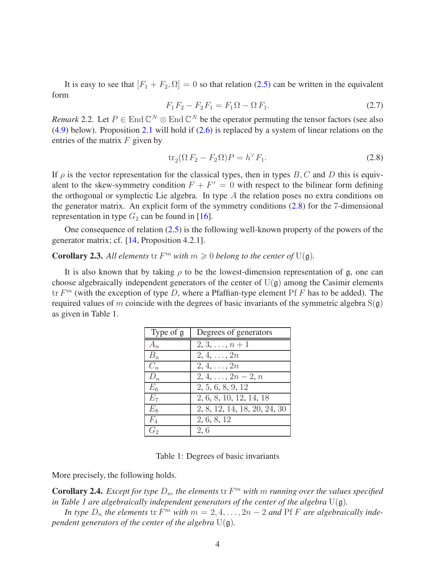It is easy to see that  $[F_1 + F_2, \Omega] = 0$  so that relation [\(2.5\)](#page-2-1) can be written in the equivalent form

<span id="page-3-2"></span>
$$
F_1 F_2 - F_2 F_1 = F_1 \Omega - \Omega F_1. \tag{2.7}
$$

*Remark* 2.2. Let  $P \in \text{End } \mathbb{C}^N \otimes \text{End } \mathbb{C}^N$  be the operator permuting the tensor factors (see also [\(4.9\)](#page-10-0) below). Proposition [2.1](#page-2-2) will hold if [\(2.6\)](#page-2-3) is replaced by a system of linear relations on the entries of the matrix *F* given by

<span id="page-3-0"></span>
$$
\operatorname{tr}_2(\Omega F_2 - F_2 \Omega)P = h^{\vee} F_1.
$$
\n(2.8)

If  $\rho$  is the vector representation for the classical types, then in types *B*, *C* and *D* this is equivalent to the skew-symmetry condition  $F + F' = 0$  with respect to the bilinear form defining the orthogonal or symplectic Lie algebra. In type *A* the relation poses no extra conditions on the generator matrix. An explicit form of the symmetry conditions  $(2.8)$  for the 7-dimensional representation in type  $G_2$  can be found in [\[16\]](#page-15-4).

One consequence of relation  $(2.5)$  is the following well-known property of the powers of the generator matrix; cf. [\[14,](#page-15-3) Proposition 4.2.1].

#### **Corollary 2.3.** All elements  $\text{tr } F^m$  with  $m \geq 0$  belong to the center of  $U(\mathfrak{g})$ .

It is also known that by taking  $\rho$  to be the lowest-dimension representation of  $g$ , one can choose algebraically independent generators of the center of  $U(g)$  among the Casimir elements tr *F <sup>m</sup>* (with the exception of type *D*, where a Pfaffian-type element Pf *F* has to be added). The required values of *m* coincide with the degrees of basic invariants of the symmetric algebra  $S(g)$ as given in Table 1.

| Type of $\mathfrak g$ | Degrees of generators        |
|-----------------------|------------------------------|
| $A_n$                 | $2, 3, \ldots, n+1$          |
| $B_n$                 | $2, 4, \ldots, 2n$           |
| $C_n$                 | $2, 4, \ldots, 2n$           |
| $D_n$                 | $2, 4, \ldots, 2n-2, n$      |
| $E_6$                 | 2, 5, 6, 8, 9, 12            |
| $E_7$                 | 2, 6, 8, 10, 12, 14, 18      |
| $E_8$                 | 2, 8, 12, 14, 18, 20, 24, 30 |
| $F_4$                 | 2, 6, 8, 12                  |
| G0                    | 2,6                          |

Table 1: Degrees of basic invariants

More precisely, the following holds.

<span id="page-3-1"></span>**Corollary 2.4.** *Except for type*  $D_n$ *, the elements*  $tr F^m$  *with*  $m$  *running over the values specified in Table 1 are algebraically independent generators of the center of the algebra*  $U(\mathfrak{g})$ *.* 

*In type*  $D_n$  *the elements*  $\text{tr } F^m$  *with*  $m = 2, 4, \ldots, 2n - 2$  *and* Pf *F are algebraically independent generators of the center of the algebra*  $U(\mathfrak{g})$ *.*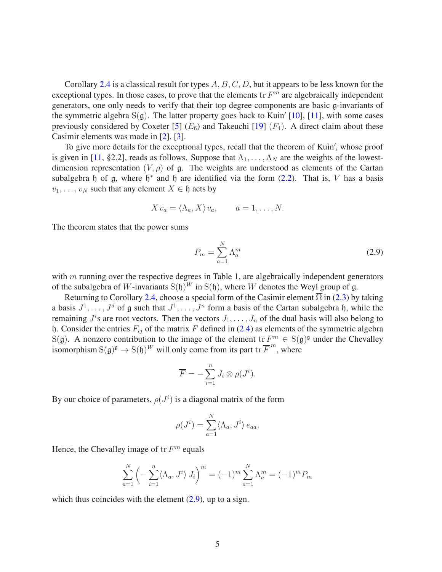Corollary [2.4](#page-3-1) is a classical result for types *A, B, C, D*, but it appears to be less known for the exceptional types. In those cases, to prove that the elements tr *F <sup>m</sup>* are algebraically independent generators, one only needs to verify that their top degree components are basic g-invariants of the symmetric algebra  $S(g)$ . The latter property goes back to Kuin' [\[10\]](#page-14-7), [\[11\]](#page-14-8), with some cases previously considered by Coxeter  $[5]$  ( $E_6$ ) and Takeuchi  $[19]$  ( $F_4$ ). A direct claim about these Casimir elements was made in [\[2\]](#page-14-10), [\[3\]](#page-14-11).

To give more details for the exceptional types, recall that the theorem of Kuin′ , whose proof is given in [\[11,](#page-14-8) §2.2], reads as follows. Suppose that  $\Lambda_1, \ldots, \Lambda_N$  are the weights of the lowestdimension representation  $(V, \rho)$  of g. The weights are understood as elements of the Cartan subalgebra h of  $\mathfrak g$ , where  $\mathfrak h^*$  and  $\mathfrak h$  are identified via the form [\(2.2\)](#page-2-0). That is, *V* has a basis  $v_1, \ldots, v_N$  such that any element  $X \in \mathfrak{h}$  acts by

$$
Xv_a = \langle \Lambda_a, X \rangle v_a, \qquad a = 1, \dots, N.
$$

The theorem states that the power sums

<span id="page-4-0"></span>
$$
P_m = \sum_{a=1}^{N} \Lambda_a^m \tag{2.9}
$$

with *m* running over the respective degrees in Table 1, are algebraically independent generators of the subalgebra of W-invariants  $S(h)^W$  in  $S(h)$ , where W denotes the Weyl group of g.

Returning to Corollary [2.4,](#page-3-1) choose a special form of the Casimir element  $\overline{\Omega}$  in [\(2.3\)](#page-2-4) by taking a basis  $J^1, \ldots, J^d$  of g such that  $J^1, \ldots, J^n$  form a basis of the Cartan subalgebra h, while the remaining  $J^i$ s are root vectors. Then the vectors  $J_1, \ldots, J_n$  of the dual basis will also belong to h. Consider the entries  $F_{ij}$  of the matrix  $F$  defined in [\(2.4\)](#page-2-5) as elements of the symmetric algebra S(g). A nonzero contribution to the image of the element  $\text{tr } F^m \in S(\mathfrak{g})^{\mathfrak{g}}$  under the Chevalley isomorphism  $S(g)^g \to S(h)^W$  will only come from its part tr $\overline{F}^m$ , where

$$
\overline{F} = -\sum_{i=1}^{n} J_i \otimes \rho(J^i).
$$

By our choice of parameters,  $\rho(J^i)$  is a diagonal matrix of the form

$$
\rho(J^i) = \sum_{a=1}^N \langle \Lambda_a, J^i \rangle e_{aa}.
$$

Hence, the Chevalley image of tr *F <sup>m</sup>* equals

$$
\sum_{a=1}^{N} \left( -\sum_{i=1}^{n} \langle \Lambda_a, J^i \rangle J_i \right)^m = (-1)^m \sum_{a=1}^{N} \Lambda_a^m = (-1)^m P_m
$$

which thus coincides with the element  $(2.9)$ , up to a sign.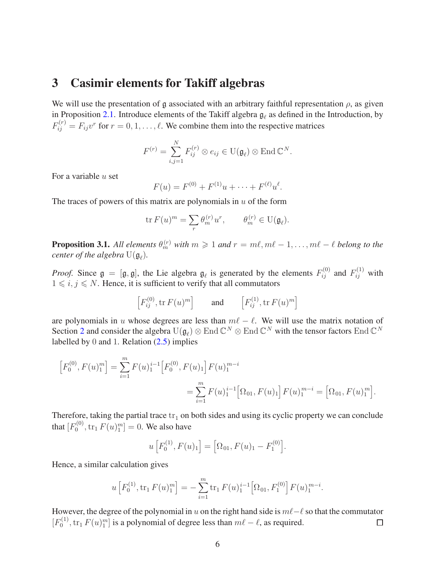### <span id="page-5-1"></span>3 Casimir elements for Takiff algebras

We will use the presentation of g associated with an arbitrary faithful representation  $\rho$ , as given in Proposition [2.1.](#page-2-2) Introduce elements of the Takiff algebra g*<sup>ℓ</sup>* as defined in the Introduction, by  $F_{ij}^{(r)} = F_{ij}v^r$  for  $r = 0, 1, \dots, \ell$ . We combine them into the respective matrices

$$
F^{(r)} = \sum_{i,j=1}^{N} F_{ij}^{(r)} \otimes e_{ij} \in \mathrm{U}(\mathfrak{g}_{\ell}) \otimes \mathrm{End} \, \mathbb{C}^{N}.
$$

For a variable *u* set

$$
F(u) = F^{(0)} + F^{(1)}u + \dots + F^{(\ell)}u^{\ell}.
$$

The traces of powers of this matrix are polynomials in *u* of the form

$$
\operatorname{tr} F(u)^m = \sum_r \theta_m^{(r)} u^r, \qquad \theta_m^{(r)} \in \mathrm{U}(\mathfrak{g}_\ell).
$$

<span id="page-5-0"></span>**Proposition 3.1.** All elements  $\theta_m^{(r)}$  with  $m \geq 1$  and  $r = m\ell, m\ell - 1, \ldots, m\ell - \ell$  belong to the *center of the algebra* U(g*<sup>ℓ</sup>* )*.*

*Proof.* Since  $g = [g, g]$ , the Lie algebra  $g_\ell$  is generated by the elements  $F_{ij}^{(0)}$  and  $F_{ij}^{(1)}$  with  $1 \leq i, j \leq N$ . Hence, it is sufficient to verify that all commutators

$$
\left[F_{ij}^{(0)}, \text{tr}\,F(u)^m\right] \qquad \text{and} \qquad \left[F_{ij}^{(1)}, \text{tr}\,F(u)^m\right]
$$

are polynomials in *u* whose degrees are less than  $m\ell - \ell$ . We will use the matrix notation of Section [2](#page-1-1) and consider the algebra  $U(g_\ell) \otimes \text{End } \mathbb{C}^N \otimes \text{End } \mathbb{C}^N$  with the tensor factors  $\text{End } \mathbb{C}^N$ labelled by 0 and 1. Relation  $(2.5)$  implies

$$
\begin{aligned}\n\left[F_0^{(0)}, F(u)_1^m\right] &= \sum_{i=1}^m F(u)_1^{i-1} \left[F_0^{(0)}, F(u)_1\right] F(u)_1^{m-i} \\
&= \sum_{i=1}^m F(u)_1^{i-1} \left[\Omega_{01}, F(u)_1\right] F(u)_1^{m-i} = \left[\Omega_{01}, F(u)_1^m\right].\n\end{aligned}
$$

Therefore, taking the partial trace  $tr_1$  on both sides and using its cyclic property we can conclude that  $[F_0^{(0)}]$  $b_0^{(0)}$ , tr<sub>1</sub>  $F(u)_1^m$ ] = 0. We also have

$$
u\left[F_0^{(1)}, F(u)_1\right] = \left[\Omega_{01}, F(u)_1 - F_1^{(0)}\right].
$$

Hence, a similar calculation gives

$$
u\left[F_0^{(1)}, \text{tr}_1 F(u)_1^m\right] = -\sum_{i=1}^m \text{tr}_1 F(u)_1^{i-1} \left[\Omega_{01}, F_1^{(0)}\right] F(u)_1^{m-i}.
$$

However, the degree of the polynomial in *u* on the right hand side is *mℓ*−*ℓ* so that the commutator  $[F_0^{(1)}]$  $D_0^{(1)}$ ,  $\text{tr}_1 F(u)_1^m$  is a polynomial of degree less than  $m\ell - \ell$ , as required.  $\Box$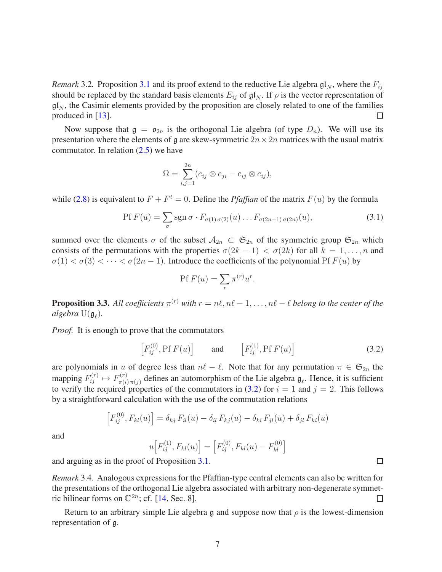*Remark* 3.2. Proposition [3.1](#page-5-0) and its proof extend to the reductive Lie algebra  $\mathfrak{gl}_N$ , where the  $F_{ij}$ should be replaced by the standard basis elements  $E_{ij}$  of  $\mathfrak{gl}_N$ . If  $\rho$  is the vector representation of  $\mathfrak{gl}_N$ , the Casimir elements provided by the proposition are closely related to one of the families produced in [\[13\]](#page-14-2). □

Now suppose that  $g = o_{2n}$  is the orthogonal Lie algebra (of type  $D_n$ ). We will use its presentation where the elements of g are skew-symmetric  $2n \times 2n$  matrices with the usual matrix commutator. In relation  $(2.5)$  we have

$$
\Omega = \sum_{i,j=1}^{2n} (e_{ij} \otimes e_{ji} - e_{ij} \otimes e_{ij}),
$$

while [\(2.8\)](#page-3-0) is equivalent to  $F + F^t = 0$ . Define the *Pfaffian* of the matrix  $F(u)$  by the formula

<span id="page-6-2"></span>
$$
\text{Pf } F(u) = \sum_{\sigma} \text{sgn } \sigma \cdot F_{\sigma(1)\sigma(2)}(u) \dots F_{\sigma(2n-1)\sigma(2n)}(u),\tag{3.1}
$$

summed over the elements  $\sigma$  of the subset  $A_{2n} \subset \mathfrak{S}_{2n}$  of the symmetric group  $\mathfrak{S}_{2n}$  which consists of the permutations with the properties  $\sigma(2k-1) < \sigma(2k)$  for all  $k = 1, \ldots, n$  and  $\sigma(1) < \sigma(3) < \cdots < \sigma(2n-1)$ . Introduce the coefficients of the polynomial Pf  $F(u)$  by

$$
Pf F(u) = \sum_{r} \pi^{(r)} u^{r}.
$$

<span id="page-6-1"></span>**Proposition 3.3.** All coefficients  $\pi^{(r)}$  with  $r = n\ell, n\ell - 1, \ldots, n\ell - \ell$  belong to the center of the *algebra* U(g*<sup>ℓ</sup>* )*.*

*Proof.* It is enough to prove that the commutators

<span id="page-6-0"></span>
$$
\[F_{ij}^{(0)}, \text{Pf } F(u)\] \qquad \text{and} \qquad \left[F_{ij}^{(1)}, \text{Pf } F(u)\right] \tag{3.2}
$$

are polynomials in *u* of degree less than  $n\ell - \ell$ . Note that for any permutation  $\pi \in \mathfrak{S}_{2n}$  the mapping  $F_{ij}^{(r)} \mapsto F_{\pi(i)}^{(r)}$  $\pi^{(r)}_{\pi(i)\pi(j)}$  defines an automorphism of the Lie algebra  $\mathfrak{g}_{\ell}$ . Hence, it is sufficient to verify the required properties of the commutators in [\(3.2\)](#page-6-0) for  $i = 1$  and  $j = 2$ . This follows by a straightforward calculation with the use of the commutation relations

$$
\[F_{ij}^{(0)}, F_{kl}(u)\] = \delta_{kj} F_{il}(u) - \delta_{il} F_{kj}(u) - \delta_{ki} F_{jl}(u) + \delta_{jl} F_{ki}(u)
$$

and

$$
u\left[F_{ij}^{(1)}, F_{kl}(u)\right] = \left[F_{ij}^{(0)}, F_{kl}(u) - F_{kl}^{(0)}\right]
$$

and arguing as in the proof of Proposition [3.1.](#page-5-0)

*Remark* 3.4*.* Analogous expressions for the Pfaffian-type central elements can also be written for the presentations of the orthogonal Lie algebra associated with arbitrary non-degenerate symmetric bilinear forms on  $\mathbb{C}^{2n}$ ; cf. [\[14,](#page-15-3) Sec. 8].  $\Box$ 

Return to an arbitrary simple Lie algebra g and suppose now that  $\rho$  is the lowest-dimension representation of g.

 $\Box$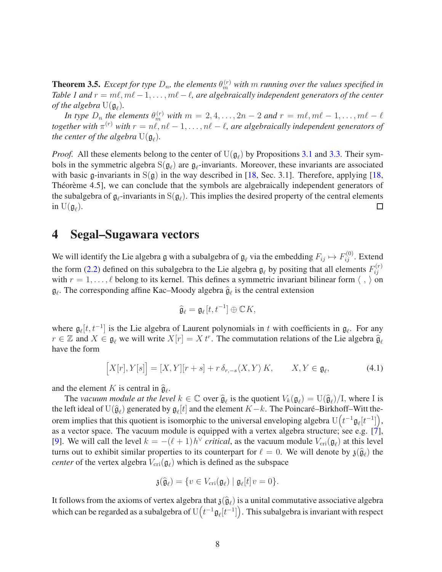**Theorem 3.5.** *Except for type*  $D_n$ , the elements  $\theta_m^{(r)}$  with  $m$  running over the values specified in *Table 1 and r* = *mℓ, mℓ* −1*, . . . , mℓ* −*ℓ, are algebraically independent generators of the center of the algebra* U(g*<sup>ℓ</sup>* )*.*

*In type*  $D_n$  *the elements*  $\theta_m^{(r)}$  *with*  $m = 2, 4, \ldots, 2n - 2$  *and*  $r = m\ell, m\ell - 1, \ldots, m\ell - \ell$ *together with π* (*r*) *with r* = *nℓ, nℓ* − 1*, . . . , nℓ* − *ℓ, are algebraically independent generators of the center of the algebra*  $U(\mathfrak{g}_{\ell}).$ 

*Proof.* All these elements belong to the center of  $U(\mathfrak{g}_{\ell})$  by Propositions [3.1](#page-5-0) and [3.3.](#page-6-1) Their symbols in the symmetric algebra S(g*<sup>ℓ</sup>* ) are g*<sup>ℓ</sup>* -invariants. Moreover, these invariants are associated with basic g-invariants in  $S(g)$  in the way described in [\[18,](#page-15-1) Sec. 3.1]. Therefore, applying [18, Théorème 4.5], we can conclude that the symbols are algebraically independent generators of the subalgebra of g*<sup>ℓ</sup>* -invariants in S(g*<sup>ℓ</sup>* ). This implies the desired property of the central elements in  $U(\mathfrak{g}_{\ell}).$ □

#### 4 Segal–Sugawara vectors

We will identify the Lie algebra  $\frak{g}$  with a subalgebra of  $\frak{g}_{\ell}$  via the embedding  $F_{ij} \mapsto F_{ij}^{(0)}$ . Extend the form [\(2.2\)](#page-2-0) defined on this subalgebra to the Lie algebra  $\mathfrak{g}_{\ell}$  by positing that all elements  $F_{ij}^{(r)}$ *ij* with  $r = 1, \ldots, \ell$  belong to its kernel. This defines a symmetric invariant bilinear form  $\langle , \rangle$  on  $\mathfrak{g}_{\ell}$ . The corresponding affine Kac–Moody algebra  $\widehat{\mathfrak{g}}_{\ell}$  is the central extension

$$
\widehat{\mathfrak{g}}_{\ell} = \mathfrak{g}_{\ell}[t, t^{-1}] \oplus \mathbb{C} K,
$$

where  $\mathfrak{g}_{\ell}[t, t^{-1}]$  is the Lie algebra of Laurent polynomials in *t* with coefficients in  $\mathfrak{g}_{\ell}$ . For any  $r \in \mathbb{Z}$  and  $X \in \mathfrak{g}_{\ell}$  we will write  $X[r] = X t^r$ . The commutation relations of the Lie algebra  $\hat{\mathfrak{g}}_{\ell}$ have the form

<span id="page-7-0"></span>
$$
\[X[r], Y[s]\] = [X, Y][r + s] + r \,\delta_{r, -s} \langle X, Y \rangle \, K, \qquad X, Y \in \mathfrak{g}_{\ell},\tag{4.1}
$$

and the element *K* is central in  $\hat{\mathfrak{g}}_{\ell}$ .

The *vacuum module at the level*  $k \in \mathbb{C}$  over  $\hat{\mathfrak{g}}_{\ell}$  is the quotient  $V_k(\mathfrak{g}_{\ell}) = U(\hat{\mathfrak{g}}_{\ell})/I$ , where I is the left ideal of  $U(\hat{\mathfrak{g}}_\ell)$  generated by  $\mathfrak{g}_\ell[t]$  and the element  $K-k$ . The Poincaré–Birkhoff–Witt theorem implies that this quotient is isomorphic to the universal enveloping algebra  $U(t^{-1}g_\ell[t^{-1}])$ , as a vector space. The vacuum module is equipped with a vertex algebra structure; see e.g.  $[7]$ , [\[9\]](#page-14-12). We will call the level  $k = -(\ell + 1)h^{\vee}$  *critical*, as the vacuum module  $V_{\text{cri}}(\mathfrak{g}_{\ell})$  at this level turns out to exhibit similar properties to its counterpart for  $\ell = 0$ . We will denote by  $\mathfrak{z}(\hat{\mathfrak{g}}_{\ell})$  the *center* of the vertex algebra  $V_{\text{cri}}(\mathfrak{g}_{\ell})$  which is defined as the subspace

$$
\mathfrak{z}(\widehat{\mathfrak{g}}_{\ell}) = \{ v \in V_{\text{cri}}(\mathfrak{g}_{\ell}) \mid \mathfrak{g}_{\ell}[t] v = 0 \}.
$$

It follows from the axioms of vertex algebra that  $\mathfrak{z}(\widehat{\mathfrak{g}}_\ell)$  is a unital commutative associative algebra which can be regarded as a subalgebra of  $U(t^{-1}g_\ell[t^{-1}])$ . This subalgebra is invariant with respect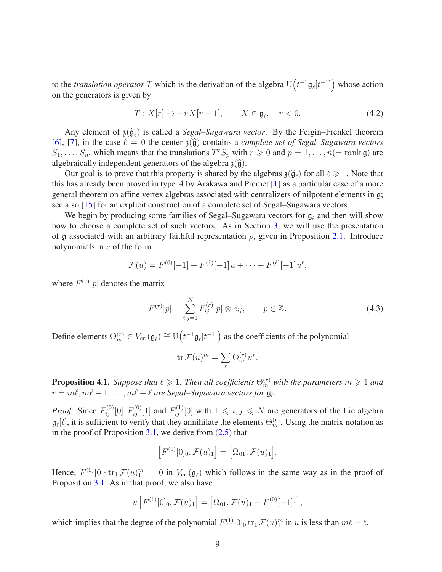to the *translation operator*  $T$  which is the derivation of the algebra  $U(t^{-1}\mathfrak{g}_{\ell}[t^{-1}])$  whose action on the generators is given by

<span id="page-8-1"></span>
$$
T: X[r] \mapsto -rX[r-1], \qquad X \in \mathfrak{g}_{\ell}, \quad r < 0. \tag{4.2}
$$

Any element of  $\mathfrak{z}(\hat{\mathfrak{g}}_{\ell})$  is called a *Segal–Sugawara vector*. By the Feigin–Frenkel theorem [\[6\]](#page-14-4), [\[7\]](#page-14-5), in the case  $\ell = 0$  the center  $\mathfrak{z}(\widehat{\mathfrak{g}})$  contains a *complete set of Segal–Sugawara vectors*  $S_1, \ldots, S_n$ , which means that the translations  $T^r S_p$  with  $r \geq 0$  and  $p = 1, \ldots, n (= \text{rank } \mathfrak{g})$  are algebraically independent generators of the algebra  $\chi(\hat{\mathfrak{g}})$ .

Our goal is to prove that this property is shared by the algebras  $\mathfrak{z}(\hat{\mathfrak{g}}_{\ell})$  for all  $\ell \geq 1$ . Note that this has already been proved in type *A* by Arakawa and Premet [\[1\]](#page-14-6) as a particular case of a more general theorem on affine vertex algebras associated with centralizers of nilpotent elements in g; see also [\[15\]](#page-15-7) for an explicit construction of a complete set of Segal–Sugawara vectors.

We begin by producing some families of Segal–Sugawara vectors for g*<sup>ℓ</sup>* and then will show how to choose a complete set of such vectors. As in Section [3,](#page-5-1) we will use the presentation of g associated with an arbitrary faithful representation  $\rho$ , given in Proposition [2.1.](#page-2-2) Introduce polynomials in *u* of the form

$$
\mathcal{F}(u) = F^{(0)}[-1] + F^{(1)}[-1]u + \cdots + F^{(\ell)}[-1]u^{\ell},
$$

where  $F^{(r)}[p]$  denotes the matrix

<span id="page-8-2"></span>
$$
F^{(r)}[p] = \sum_{i,j=1}^{N} F_{ij}^{(r)}[p] \otimes e_{ij}, \qquad p \in \mathbb{Z}.
$$
 (4.3)

Define elements  $\Theta_m^{(r)} \in V_{\text{cri}}(\mathfrak{g}_{\ell}) \cong \mathrm{U}\left(t^{-1}\mathfrak{g}_{\ell}[t^{-1}]\right)$  as the coefficients of the polynomial

$$
\operatorname{tr} \mathcal{F}(u)^m = \sum_r \Theta_m^{(r)} u^r.
$$

<span id="page-8-0"></span>**Proposition 4.1.** *Suppose that*  $\ell \geqslant 1$ *. Then all coefficients*  $\Theta_m^{(r)}$  *with the parameters*  $m \geqslant 1$  *and r* = *mℓ, mℓ* − 1*, . . . , mℓ* − *ℓ are Segal–Sugawara vectors for* g*<sup>ℓ</sup> .*

*Proof.* Since  $F_{ij}^{(0)}[0], F_{ij}^{(0)}[1]$  and  $F_{ij}^{(1)}[0]$  with  $1 \leq i, j \leq N$  are generators of the Lie algebra  $\mathfrak{g}_{\ell}[t]$ , it is sufficient to verify that they annihilate the elements  $\Theta_{m}^{(r)}$ . Using the matrix notation as in the proof of Proposition  $3.1$ , we derive from  $(2.5)$  that

$$
\left[F^{(0)}[0], \mathcal{F}(u)_1\right] = \left[\Omega_{01}, \mathcal{F}(u)_1\right].
$$

Hence,  $F^{(0)}[0]_0$  tr<sub>1</sub>  $\mathcal{F}(u)_1^m = 0$  in  $V_{\text{cri}}(\mathfrak{g}_{\ell})$  which follows in the same way as in the proof of Proposition [3.1.](#page-5-0) As in that proof, we also have

$$
u\left[F^{(1)}[0],\mathcal{F}(u)_1\right] = \left[\Omega_{01},\mathcal{F}(u)_1 - F^{(0)}[-1]_1\right],
$$

which implies that the degree of the polynomial  $F^{(1)}[0]_0$  tr<sub>1</sub>  $\mathcal{F}(u)_1^m$  in *u* is less than  $m\ell - \ell$ .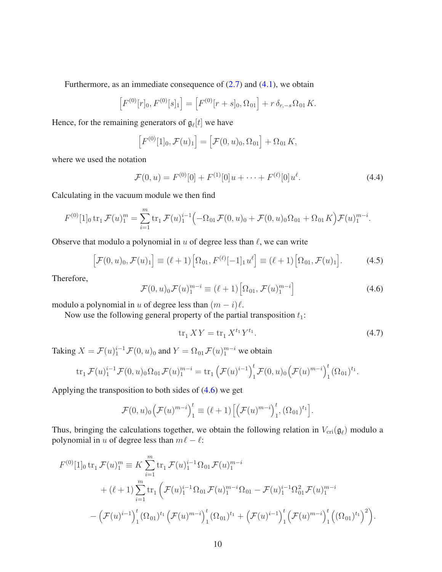Furthermore, as an immediate consequence of  $(2.7)$  and  $(4.1)$ , we obtain

$$
\[F^{(0)}[r]_0, F^{(0)}[s]_1\] = \[F^{(0)}[r+s]_0, \Omega_{01}\] + r \,\delta_{r,-s} \Omega_{01} K.
$$

Hence, for the remaining generators of  $\mathfrak{g}_{\ell}[t]$  we have

$$
\left[F^{(0)}[1]_0, \mathcal{F}(u)_1\right] = \left[\mathcal{F}(0, u)_0, \Omega_{01}\right] + \Omega_{01} K,
$$

where we used the notation

<span id="page-9-2"></span>
$$
\mathcal{F}(0, u) = F^{(0)}[0] + F^{(1)}[0]u + \dots + F^{(\ell)}[0]u^{\ell}.
$$
 (4.4)

Calculating in the vacuum module we then find

$$
F^{(0)}[1]_0 \operatorname{tr}_1 \mathcal{F}(u)_1^m = \sum_{i=1}^m \operatorname{tr}_1 \mathcal{F}(u)_1^{i-1} \Big( -\Omega_{01} \mathcal{F}(0, u)_0 + \mathcal{F}(0, u)_0 \Omega_{01} + \Omega_{01} K \Big) \mathcal{F}(u)_1^{m-i}.
$$

Observe that modulo a polynomial in *u* of degree less than *ℓ*, we can write

<span id="page-9-3"></span>
$$
\left[\mathcal{F}(0,u)_0,\mathcal{F}(u)_1\right] \equiv \left(\ell+1\right)\left[\Omega_{01},F^{(\ell)}[-1]_1u^{\ell}\right] \equiv \left(\ell+1\right)\left[\Omega_{01},\mathcal{F}(u)_1\right].\tag{4.5}
$$

Therefore,

<span id="page-9-0"></span>
$$
\mathcal{F}(0, u)_0 \mathcal{F}(u)_1^{m-i} \equiv (\ell+1) \left[ \Omega_{01}, \mathcal{F}(u)_1^{m-i} \right]
$$
\n(4.6)

modulo a polynomial in *u* of degree less than  $(m - i)\ell$ .

Now use the following general property of the partial transposition  $t_1$ :

<span id="page-9-1"></span>
$$
\text{tr}_1 XY = \text{tr}_1 X^{t_1} Y^{t_1}.
$$
\n(4.7)

Taking  $X = \mathcal{F}(u)_1^{i-1} \mathcal{F}(0, u)_0$  and  $Y = \Omega_{01} \mathcal{F}(u)_1^{m-i}$  we obtain

$$
\mathrm{tr}_1 \mathcal{F}(u)_1^{i-1} \mathcal{F}(0, u)_0 \Omega_{01} \mathcal{F}(u)_1^{m-i} = \mathrm{tr}_1 \left( \mathcal{F}(u)^{i-1} \right)_1^t \mathcal{F}(0, u)_0 \left( \mathcal{F}(u)^{m-i} \right)_1^t (\Omega_{01})^{t_1}.
$$

Applying the transposition to both sides of [\(4.6\)](#page-9-0) we get

$$
\mathcal{F}(0, u)_0 \left(\mathcal{F}(u)^{m-i}\right)_1^t \equiv (\ell+1) \left[\left(\mathcal{F}(u)^{m-i}\right)_1^t, \left(\Omega_{01}\right)^{t_1}\right].
$$

Thus, bringing the calculations together, we obtain the following relation in  $V_{\text{cri}}(\mathfrak{g}_{\ell})$  modulo a polynomial in *u* of degree less than  $m\ell - \ell$ :

$$
F^{(0)}[1]_0 \operatorname{tr}_1 \mathcal{F}(u)_1^m \equiv K \sum_{i=1}^m \operatorname{tr}_1 \mathcal{F}(u)_1^{i-1} \Omega_{01} \mathcal{F}(u)_1^{m-i} + (\ell+1) \sum_{i=1}^m \operatorname{tr}_1 \left( \mathcal{F}(u)_1^{i-1} \Omega_{01} \mathcal{F}(u)_1^{m-i} \Omega_{01} - \mathcal{F}(u)_1^{i-1} \Omega_{01}^2 \mathcal{F}(u)_1^{m-i} \right. - \left( \mathcal{F}(u)^{i-1} \right)_1^t (\Omega_{01})^{t_1} \left( \mathcal{F}(u)^{m-i} \right)_1^t (\Omega_{01})^{t_1} + \left( \mathcal{F}(u)^{i-1} \right)_1^t \left( \mathcal{F}(u)^{m-i} \right)_1^t \left( (\Omega_{01})^{t_1} \right)^2.
$$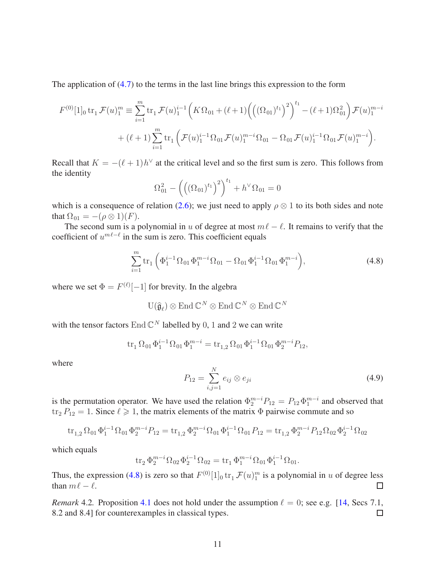The application of [\(4.7\)](#page-9-1) to the terms in the last line brings this expression to the form

$$
F^{(0)}[1]_0 \operatorname{tr}_1 \mathcal{F}(u)_1^m \equiv \sum_{i=1}^m \operatorname{tr}_1 \mathcal{F}(u)_1^{i-1} \left( K \Omega_{01} + (\ell+1) \left( \left( (\Omega_{01})^{t_1} \right)^2 \right)^{t_1} - (\ell+1) \Omega_{01}^2 \right) \mathcal{F}(u)_1^{m-i} + (\ell+1) \sum_{i=1}^m \operatorname{tr}_1 \left( \mathcal{F}(u)_1^{i-1} \Omega_{01} \mathcal{F}(u)_1^{m-i} \Omega_{01} - \Omega_{01} \mathcal{F}(u)_1^{i-1} \Omega_{01} \mathcal{F}(u)_1^{m-i} \right).
$$

Recall that  $K = -(\ell + 1)h^{\vee}$  at the critical level and so the first sum is zero. This follows from the identity

$$
\Omega_{01}^2 - \left( \left( (\Omega_{01})^{t_1} \right)^2 \right)^{t_1} + h^{\vee} \Omega_{01} = 0
$$

which is a consequence of relation [\(2.6\)](#page-2-3); we just need to apply  $\rho \otimes 1$  to its both sides and note that  $\Omega_{01} = -(\rho \otimes 1)(F)$ .

The second sum is a polynomial in *u* of degree at most  $m\ell - \ell$ . It remains to verify that the coefficient of  $u^{m\ell-\ell}$  in the sum is zero. This coefficient equals

<span id="page-10-1"></span>
$$
\sum_{i=1}^{m} \text{tr}_1\left(\Phi_1^{i-1} \Omega_{01} \Phi_1^{m-i} \Omega_{01} - \Omega_{01} \Phi_1^{i-1} \Omega_{01} \Phi_1^{m-i}\right),\tag{4.8}
$$

where we set  $\Phi = F^{(\ell)}[-1]$  for brevity. In the algebra

$$
\mathrm{U}(\widehat{\mathfrak{g}}_{\ell})\otimes \mathrm{End}\,\mathbb{C}^N\otimes \mathrm{End}\,\mathbb{C}^N\otimes \mathrm{End}\,\mathbb{C}^N
$$

with the tensor factors  $\text{End } \mathbb{C}^N$  labelled by 0, 1 and 2 we can write

$$
\operatorname{tr}_1 \Omega_{01} \Phi_1^{i-1} \Omega_{01} \Phi_1^{m-i} = \operatorname{tr}_{1,2} \Omega_{01} \Phi_1^{i-1} \Omega_{01} \Phi_2^{m-i} P_{12},
$$

where

<span id="page-10-0"></span>
$$
P_{12} = \sum_{i,j=1}^{N} e_{ij} \otimes e_{ji}
$$
 (4.9)

is the permutation operator. We have used the relation  $\Phi_2^{m-i}P_{12} = P_{12}\Phi_1^{m-i}$  and observed that  $\text{tr}_2 P_{12} = 1$ . Since  $\ell \geq 1$ , the matrix elements of the matrix  $\Phi$  pairwise commute and so

$$
\operatorname{tr}_{1,2} \Omega_{01} \Phi_1^{i-1} \Omega_{01} \Phi_2^{m-i} P_{12} = \operatorname{tr}_{1,2} \Phi_2^{m-i} \Omega_{01} \Phi_1^{i-1} \Omega_{01} P_{12} = \operatorname{tr}_{1,2} \Phi_2^{m-i} P_{12} \Omega_{02} \Phi_2^{i-1} \Omega_{02}
$$

which equals

$$
\operatorname{tr}_2 \Phi_2^{m-i} \Omega_{02} \Phi_2^{i-1} \Omega_{02} = \operatorname{tr}_1 \Phi_1^{m-i} \Omega_{01} \Phi_1^{i-1} \Omega_{01}.
$$

Thus, the expression [\(4.8\)](#page-10-1) is zero so that  $F^{(0)}[1]_0$  tr<sub>1</sub>  $\mathcal{F}(u)_1^m$  is a polynomial in *u* of degree less than  $m\ell - \ell$ .  $\Box$ 

*Remark* 4.2. Proposition [4.1](#page-8-0) does not hold under the assumption  $\ell = 0$ ; see e.g. [\[14,](#page-15-3) Secs 7.1, 8.2 and 8.4] for counterexamples in classical types.  $\Box$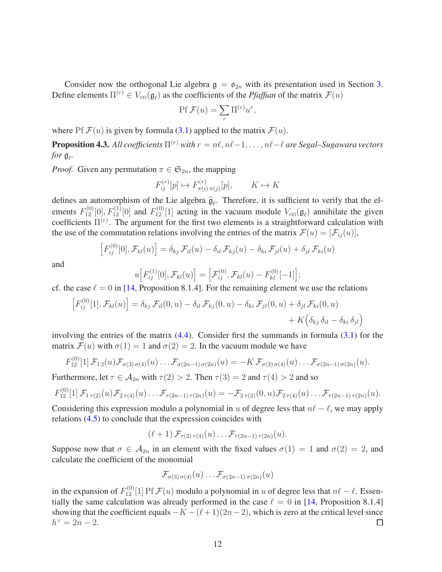Consider now the orthogonal Lie algebra  $g = o_{2n}$  with its presentation used in Section [3.](#page-5-1) Define elements  $\Pi^{(r)} \in V_{\text{cri}}(\mathfrak{g}_{\ell})$  as the coefficients of the *Pfaffian* of the matrix  $\mathcal{F}(u)$ 

$$
\text{Pf }\mathcal{F}(u) = \sum_{r} \Pi^{(r)} u^{r},
$$

where Pf  $\mathcal{F}(u)$  is given by formula [\(3.1\)](#page-6-2) applied to the matrix  $\mathcal{F}(u)$ .

<span id="page-11-0"></span>**Proposition 4.3.** All coefficients  $\Pi^{(r)}$  with  $r = n\ell, n\ell-1, \ldots, n\ell-\ell$  are Segal–Sugawara vectors *for* g*<sup>ℓ</sup> .*

*Proof.* Given any permutation  $\pi \in \mathfrak{S}_{2n}$ , the mapping

$$
F_{ij}^{(r)}[p] \mapsto F_{\pi(i)\,\pi(j)}^{(r)}[p], \qquad K \mapsto K
$$

defines an automorphism of the Lie algebra  $\hat{g}_{\ell}$ . Therefore, it is sufficient to verify that the elements  $F_{12}^{(0)}[0], F_{12}^{(1)}[0]$  and  $F_{12}^{(0)}[1]$  acting in the vacuum module  $V_{\text{cri}}(\mathfrak{g}_{\ell})$  annihilate the given coefficients  $\Pi^{(r)}$ . The argument for the first two elements is a straightforward calculation with the use of the commutation relations involving the entries of the matrix  $\mathcal{F}(u) = [\mathcal{F}_{ij}(u)],$ 

$$
\left[F_{ij}^{(0)}[0], \mathcal{F}_{kl}(u)\right] = \delta_{kj} \mathcal{F}_{il}(u) - \delta_{il} \mathcal{F}_{kj}(u) - \delta_{ki} \mathcal{F}_{jl}(u) + \delta_{jl} \mathcal{F}_{ki}(u)
$$

and

$$
u[F_{ij}^{(1)}[0], \mathcal{F}_{kl}(u) = [\mathcal{F}_{ij}^{(0)}, \mathcal{F}_{kl}(u) - F_{kl}^{(0)}[-1]];
$$

cf. the case  $\ell = 0$  in [\[14,](#page-15-3) Proposition 8.1.4]. For the remaining element we use the relations

$$
\[F_{ij}^{(0)}[1], \mathcal{F}_{kl}(u)\] = \delta_{kj} \mathcal{F}_{il}(0, u) - \delta_{il} \mathcal{F}_{kj}(0, u) - \delta_{ki} \mathcal{F}_{jl}(0, u) + \delta_{jl} \mathcal{F}_{ki}(0, u) + K(\delta_{kj} \delta_{il} - \delta_{ki} \delta_{jl})
$$

involving the entries of the matrix  $(4.4)$ . Consider first the summands in formula  $(3.1)$  for the matrix  $\mathcal{F}(u)$  with  $\sigma(1) = 1$  and  $\sigma(2) = 2$ . In the vacuum module we have

$$
F_{12}^{(0)}[1]\mathcal{F}_{12}(u)\mathcal{F}_{\sigma(3)\sigma(4)}(u)\ldots\mathcal{F}_{\sigma(2n-1)\sigma(2n)}(u)=-K\mathcal{F}_{\sigma(3)\sigma(4)}(u)\ldots\mathcal{F}_{\sigma(2n-1)\sigma(2n)}(u).
$$

Furthermore, let  $\tau \in A_{2n}$  with  $\tau(2) > 2$ . Then  $\tau(3) = 2$  and  $\tau(4) > 2$  and so

$$
F_{12}^{(0)}[1] \mathcal{F}_{1\tau(2)}(u) \mathcal{F}_{2\tau(4)}(u) \ldots \mathcal{F}_{\tau(2n-1)\tau(2n)}(u) = -\mathcal{F}_{2\tau(2)}(0, u) \mathcal{F}_{2\tau(4)}(u) \ldots \mathcal{F}_{\tau(2n-1)\tau(2n)}(u).
$$

Considering this expression modulo a polynomial in *u* of degree less that *nℓ* − *ℓ*, we may apply relations [\(4.5\)](#page-9-3) to conclude that the expression coincides with

$$
(\ell+1)\mathcal{F}_{\tau(2)\tau(4)}(u)\ldots\mathcal{F}_{\tau(2n-1)\tau(2n)}(u).
$$

Suppose now that  $\sigma \in A_{2n}$  in an element with the fixed values  $\sigma(1) = 1$  and  $\sigma(2) = 2$ , and calculate the coefficient of the monomial

$$
\mathcal{F}_{\sigma(3)\sigma(4)}(u)\ldots\mathcal{F}_{\sigma(2n-1)\sigma(2n)}(u)
$$

in the expansion of  $F_{12}^{(0)}[1]$  Pf  $\mathcal{F}(u)$  modulo a polynomial in *u* of degree less that  $n\ell - \ell$ . Essentially the same calculation was already performed in the case  $\ell = 0$  in [\[14,](#page-15-3) Proposition 8.1.4] showing that the coefficient equals  $-K-(\ell+1)(2n-2)$ , which is zero at the critical level since  $h^{\vee} = 2n - 2.$  $\Box$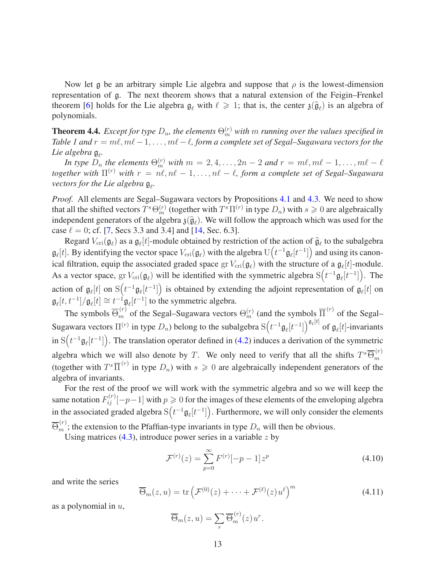Now let g be an arbitrary simple Lie algebra and suppose that  $\rho$  is the lowest-dimension representation of g. The next theorem shows that a natural extension of the Feigin–Frenkel theorem [\[6\]](#page-14-4) holds for the Lie algebra  $\mathfrak{g}_{\ell}$  with  $\ell \geq 1$ ; that is, the center  $\mathfrak{z}(\hat{\mathfrak{g}}_{\ell})$  is an algebra of polynomials.

**Theorem 4.4.** *Except for type*  $D_n$ , the elements  $\Theta_m^{(r)}$  with  $m$  *running over the values specified in Table 1 and r* = *mℓ, mℓ*−1*, . . . , mℓ*−*ℓ, form a complete set of Segal–Sugawara vectors for the Lie algebra* g*<sup>ℓ</sup> .*

*In type*  $D_n$  *the elements*  $\Theta_m^{(r)}$  *with*  $m = 2, 4, \ldots, 2n - 2$  *and*  $r = m\ell, m\ell - 1, \ldots, m\ell - \ell$ *together with* Π (*r*) *with r* = *nℓ, nℓ* − 1*, . . . , nℓ* − *ℓ, form a complete set of Segal–Sugawara vectors for the Lie algebra* g*<sup>ℓ</sup> .*

*Proof.* All elements are Segal–Sugawara vectors by Propositions [4.1](#page-8-0) and [4.3.](#page-11-0) We need to show that all the shifted vectors  $T^s \Theta_m^{(r)}$  (together with  $T^s \Pi^{(r)}$  in type  $D_n$ ) with  $s \geq 0$  are algebraically independent generators of the algebra  $\mathfrak{z}(\hat{\mathfrak{g}}_{\ell})$ . We will follow the approach which was used for the case  $\ell = 0$ ; cf. [\[7,](#page-14-5) Secs 3.3 and 3.4] and [\[14,](#page-15-3) Sec. 6.3].

Regard  $V_{\text{cri}}(\mathfrak{g}_{\ell})$  as a  $\mathfrak{g}_{\ell}[t]$ -module obtained by restriction of the action of  $\hat{\mathfrak{g}}_{\ell}$  to the subalgebra  $\mathfrak{g}_{\ell}[t]$ . By identifying the vector space  $V_{\text{cri}}(\mathfrak{g}_{\ell})$  with the algebra  $U(t^{-1}\mathfrak{g}_{\ell}[t^{-1}])$  and using its canonical filtration, equip the associated graded space  $gr V_{\text{cri}}(\mathfrak{g}_{\ell})$  with the structure of a  $\mathfrak{g}_{\ell}[t]$ -module. As a vector space, gr  $V_{\text{cri}}(\mathfrak{g}_{\ell})$  will be identified with the symmetric algebra  $S(t^{-1}\mathfrak{g}_{\ell}[t^{-1}])$ . The action of  $\mathfrak{g}_{\ell}[t]$  on  $S(t^{-1}\mathfrak{g}_{\ell}[t^{-1}])$  is obtained by extending the adjoint representation of  $\mathfrak{g}_{\ell}[t]$  on  $\mathfrak{g}_{\ell}[t, t^{-1}]/\mathfrak{g}_{\ell}[t] \cong t^{-1} \mathfrak{g}_{\ell}[t^{-1}]$  to the symmetric algebra.

The symbols  $\overline{\Theta}_m^{(r)}$  of the Segal–Sugawara vectors  $\Theta_m^{(r)}$  (and the symbols  $\overline{\Pi}^{(r)}$  of the Segal– Sugawara vectors  $\Pi^{(r)}$  in type  $D_n$ ) belong to the subalgebra  $S(t^{-1}\mathfrak{g}_{\ell}[t^{-1}])^{\mathfrak{g}_{\ell}[t]}$  of  $\mathfrak{g}_{\ell}[t]$ -invariants in  $S(t^{-1}g_\ell[t^{-1}])$ . The translation operator defined in [\(4.2\)](#page-8-1) induces a derivation of the symmetric algebra which we will also denote by *T*. We only need to verify that all the shifts  $T^s\overline{\Theta}_m^{(r)}$ *m* (together with  $T^s \overline{\Pi}^{(r)}$  in type  $D_n$ ) with  $s \geq 0$  are algebraically independent generators of the algebra of invariants.

For the rest of the proof we will work with the symmetric algebra and so we will keep the same notation  $F_{ij}^{(r)}[-p-1]$  with  $p \geqslant 0$  for the images of these elements of the enveloping algebra in the associated graded algebra  $S(t^{-1}g_\ell[t^{-1}])$ . Furthermore, we will only consider the elements  $\overline{\Theta}_m^{(r)}$ ; the extension to the Pfaffian-type invariants in type  $D_n$  will then be obvious.

Using matrices [\(4.3\)](#page-8-2), introduce power series in a variable *z* by

<span id="page-12-0"></span>
$$
\mathcal{F}^{(r)}(z) = \sum_{p=0}^{\infty} F^{(r)}[-p-1]z^p
$$
\n(4.10)

and write the series

<span id="page-12-1"></span>
$$
\overline{\Theta}_m(z, u) = \text{tr}\left(\mathcal{F}^{(0)}(z) + \dots + \mathcal{F}^{(\ell)}(z)u^{\ell}\right)^m \tag{4.11}
$$

as a polynomial in *u*,

$$
\overline{\Theta}_m(z, u) = \sum_r \overline{\Theta}_m^{(r)}(z) u^r.
$$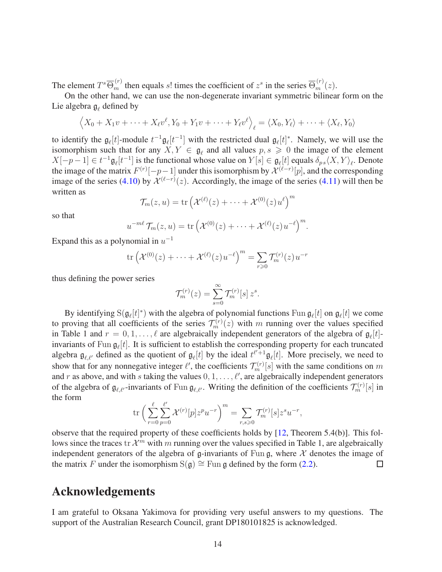The element  $T^s \overline{\Theta}_m^{(r)}$  then equals *s*! times the coefficient of  $z^s$  in the series  $\overline{\Theta}_m^{(r)}(z)$ .

On the other hand, we can use the non-degenerate invariant symmetric bilinear form on the Lie algebra g*<sup>ℓ</sup>* defined by

$$
\langle X_0 + X_1 v + \dots + X_\ell v^\ell, Y_0 + Y_1 v + \dots + Y_\ell v^\ell \rangle_\ell = \langle X_0, Y_\ell \rangle + \dots + \langle X_\ell, Y_0 \rangle
$$

to identify the  $\mathfrak{g}_{\ell}[t]$ -module  $t^{-1}\mathfrak{g}_{\ell}[t^{-1}]$  with the restricted dual  $\mathfrak{g}_{\ell}[t]^*$ . Namely, we will use the isomorphism such that for any  $X, Y \in \mathfrak{g}_{\ell}$  and all values  $p, s \geq 0$  the image of the element  $X[-p-1] \in t^{-1} \mathfrak{g}_{\ell}[t^{-1}]$  is the functional whose value on  $Y[s] \in \mathfrak{g}_{\ell}[t]$  equals  $\delta_{ps} \langle X, Y \rangle_{\ell}$ . Denote the image of the matrix  $F^{(r)}[-p-1]$  under this isomorphism by  $\mathcal{X}^{(\ell-r)}[p]$ , and the corresponding image of the series [\(4.10\)](#page-12-0) by  $\mathcal{X}^{(\ell-r)}(z)$ . Accordingly, the image of the series [\(4.11\)](#page-12-1) will then be written as

$$
\mathcal{T}_m(z, u) = \text{tr}\left(\mathcal{X}^{(\ell)}(z) + \cdots + \mathcal{X}^{(0)}(z)u^{\ell}\right)^m
$$

so that

$$
u^{-m\ell}\mathcal{T}_m(z,u)=\text{tr}\left(\mathcal{X}^{(0)}(z)+\cdots+\mathcal{X}^{(\ell)}(z)u^{-\ell}\right)^m.
$$

Expand this as a polynomial in  $u^{-1}$ 

$$
\text{tr}\left(\mathcal{X}^{(0)}(z) + \dots + \mathcal{X}^{(\ell)}(z)u^{-\ell}\right)^m = \sum_{r\geq 0} \mathcal{T}_m^{(r)}(z)u^{-r}
$$

thus defining the power series

$$
\mathcal{T}_m^{(r)}(z) = \sum_{s=0}^{\infty} \mathcal{T}_m^{(r)}[s] z^s.
$$

By identifying  $S(g_\ell[t]^*)$  with the algebra of polynomial functions Fun  $g_\ell[t]$  on  $g_\ell[t]$  we come to proving that all coefficients of the series  $\mathcal{T}_m^{(r)}(z)$  with *m* running over the values specified in Table 1 and  $r = 0, 1, \ldots, \ell$  are algebraically independent generators of the algebra of  $\mathfrak{g}_{\ell}[t]$ invariants of Fun g*<sup>ℓ</sup>* [*t*]. It is sufficient to establish the corresponding property for each truncated algebra  $g_{\ell,\ell'}$  defined as the quotient of  $g_{\ell}[t]$  by the ideal  $t^{\ell'+1}g_{\ell}[t]$ . More precisely, we need to show that for any nonnegative integer  $\ell'$ , the coefficients  $\mathcal{T}_m^{(r)}[s]$  with the same conditions on  $m$ and  $r$  as above, and with  $s$  taking the values  $0, 1, \ldots, \ell'$ , are algebraically independent generators of the algebra of  $\mathfrak{g}_{\ell,\ell'}$ -invariants of Fun  $\mathfrak{g}_{\ell,\ell'}$ . Writing the definition of the coefficients  $\mathcal{T}_m^{(r)}[s]$  in the form

$$
\text{tr}\left(\sum_{r=0}^{\ell}\sum_{p=0}^{\ell'}\mathcal{X}^{(r)}[p]z^pu^{-r}\right)^m = \sum_{r,s\geqslant 0}\mathcal{T}^{(r)}_m[s]z^su^{-r},
$$

observe that the required property of these coefficients holds by [\[12,](#page-14-0) Theorem 5.4(b)]. This follows since the traces  $\text{tr }\mathcal{X}^m$  with  $m$  running over the values specified in Table 1, are algebraically independent generators of the algebra of  $\mathfrak g$ -invariants of Fun  $\mathfrak g$ , where X denotes the image of the matrix *F* under the isomorphism  $S(g) \cong \text{Fun } g$  defined by the form [\(2.2\)](#page-2-0).  $\Box$ 

### Acknowledgements

I am grateful to Oksana Yakimova for providing very useful answers to my questions. The support of the Australian Research Council, grant DP180101825 is acknowledged.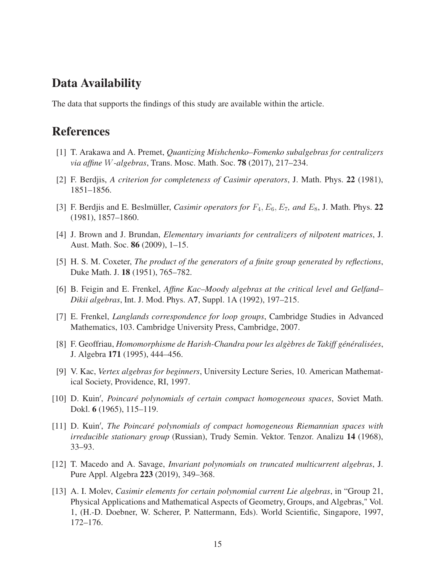## Data Availability

The data that supports the findings of this study are available within the article.

### <span id="page-14-6"></span>References

- <span id="page-14-10"></span>[1] T. Arakawa and A. Premet, *Quantizing Mishchenko–Fomenko subalgebras for centralizers via affine W-algebras*, Trans. Mosc. Math. Soc. 78 (2017), 217–234.
- <span id="page-14-11"></span>[2] F. Berdjis, *A criterion for completeness of Casimir operators*, J. Math. Phys. 22 (1981), 1851–1856.
- <span id="page-14-3"></span>[3] F. Berdjis and E. Beslmüller, *Casimir operators for F*4*, E*6*, E*7*, and E*8, J. Math. Phys. 22 (1981), 1857–1860.
- <span id="page-14-9"></span>[4] J. Brown and J. Brundan, *Elementary invariants for centralizers of nilpotent matrices*, J. Aust. Math. Soc. 86 (2009), 1–15.
- <span id="page-14-4"></span>[5] H. S. M. Coxeter, *The product of the generators of a finite group generated by reflections*, Duke Math. J. 18 (1951), 765–782.
- <span id="page-14-5"></span>[6] B. Feigin and E. Frenkel, *Affine Kac–Moody algebras at the critical level and Gelfand– Dikii algebras*, Int. J. Mod. Phys. A7, Suppl. 1A (1992), 197–215.
- <span id="page-14-1"></span>[7] E. Frenkel, *Langlands correspondence for loop groups*, Cambridge Studies in Advanced Mathematics, 103. Cambridge University Press, Cambridge, 2007.
- <span id="page-14-12"></span>[8] F. Geoffriau, *Homomorphisme de Harish-Chandra pour les algèbres de Takiff généralisées*, J. Algebra 171 (1995), 444–456.
- [9] V. Kac, *Vertex algebras for beginners*, University Lecture Series, 10. American Mathematical Society, Providence, RI, 1997.
- <span id="page-14-7"></span>[10] D. Kuin′ , *Poincaré polynomials of certain compact homogeneous spaces*, Soviet Math. Dokl. 6 (1965), 115–119.
- <span id="page-14-8"></span>[11] D. Kuin', The Poincaré polynomials of compact homogeneous Riemannian spaces with *irreducible stationary group* (Russian), Trudy Semin. Vektor. Tenzor. Analizu 14 (1968), 33–93.
- <span id="page-14-0"></span>[12] T. Macedo and A. Savage, *Invariant polynomials on truncated multicurrent algebras*, J. Pure Appl. Algebra 223 (2019), 349–368.
- <span id="page-14-2"></span>[13] A. I. Molev, *Casimir elements for certain polynomial current Lie algebras*, in "Group 21, Physical Applications and Mathematical Aspects of Geometry, Groups, and Algebras," Vol. 1, (H.-D. Doebner, W. Scherer, P. Nattermann, Eds). World Scientific, Singapore, 1997, 172–176.